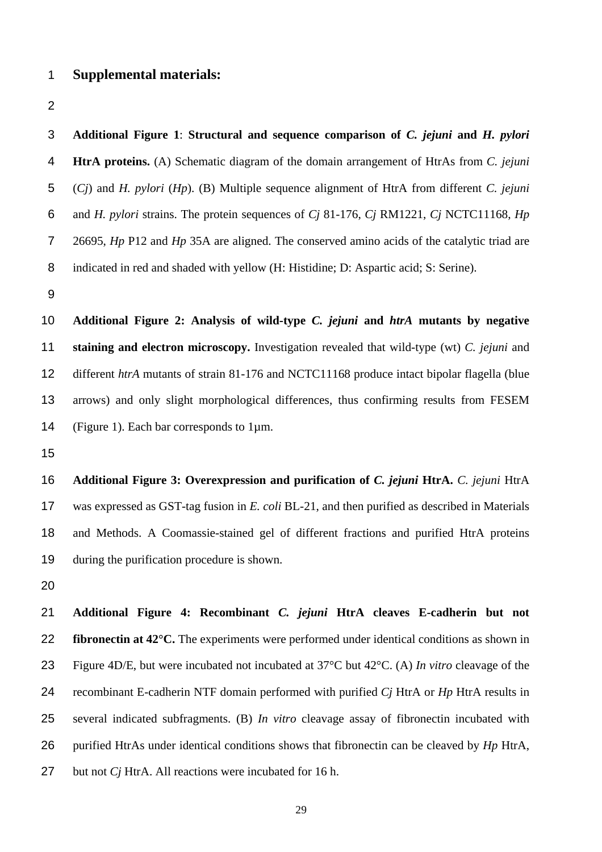**Additional Figure 1**: **Structural and sequence comparison of** *C. jejuni* **and** *H. pylori* **HtrA proteins.** (A) Schematic diagram of the domain arrangement of HtrAs from *C. jejuni* (*Cj*) and *H. pylori* (*Hp*). (B) Multiple sequence alignment of HtrA from different *C. jejuni* and *H. pylori* strains. The protein sequences of *Cj* 81-176, *Cj* RM1221, *Cj* NCTC11168, *Hp*  26695, *Hp* P12 and *Hp* 35A are aligned. The conserved amino acids of the catalytic triad are indicated in red and shaded with yellow (H: Histidine; D: Aspartic acid; S: Serine). **Additional Figure 2: Analysis of wild-type** *C. jejuni* **and** *htrA* **mutants by negative staining and electron microscopy.** Investigation revealed that wild-type (wt) *C. jejuni* and different *htrA* mutants of strain 81-176 and NCTC11168 produce intact bipolar flagella (blue arrows) and only slight morphological differences, thus confirming results from FESEM (Figure 1). Each bar corresponds to 1µm. **Additional Figure 3: Overexpression and purification of** *C. jejuni* **HtrA.** *C. jejuni* HtrA was expressed as GST-tag fusion in *E. coli* BL-21, and then purified as described in Materials and Methods. A Coomassie-stained gel of different fractions and purified HtrA proteins during the purification procedure is shown.

**Additional Figure 4: Recombinant** *C. jejuni* **HtrA cleaves E-cadherin but not fibronectin at 42°C.** The experiments were performed under identical conditions as shown in Figure 4D/E, but were incubated not incubated at 37°C but 42°C. (A) *In vitro* cleavage of the recombinant E-cadherin NTF domain performed with purified *Cj* HtrA or *Hp* HtrA results in several indicated subfragments. (B) *In vitro* cleavage assay of fibronectin incubated with purified HtrAs under identical conditions shows that fibronectin can be cleaved by *Hp* HtrA, but not *Cj* HtrA. All reactions were incubated for 16 h.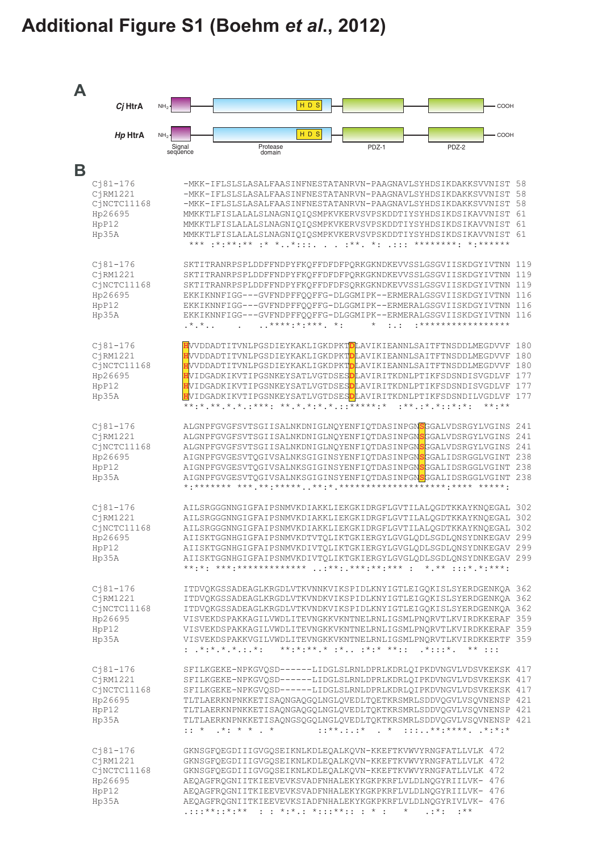## Additional Figure S1 (Boehm et al., 2012)

 $\overline{\mathsf{B}}$ 

 $\blacktriangle$ 

| Cj HtrA                                                                           |                                       |                                                                                                                                                                                                                                                                                                                                                                                                                                                                                                                                                                                                                                                              | HD <sub>S</sub>          |                                          |                             |                                            | COOH                                                  |
|-----------------------------------------------------------------------------------|---------------------------------------|--------------------------------------------------------------------------------------------------------------------------------------------------------------------------------------------------------------------------------------------------------------------------------------------------------------------------------------------------------------------------------------------------------------------------------------------------------------------------------------------------------------------------------------------------------------------------------------------------------------------------------------------------------------|--------------------------|------------------------------------------|-----------------------------|--------------------------------------------|-------------------------------------------------------|
| Hp HtrA                                                                           | NH <sub>2</sub><br>Signal<br>sequence | Protease<br>domain                                                                                                                                                                                                                                                                                                                                                                                                                                                                                                                                                                                                                                           | HDS                      | PDZ-1                                    |                             | PDZ-2                                      | COOH                                                  |
|                                                                                   |                                       |                                                                                                                                                                                                                                                                                                                                                                                                                                                                                                                                                                                                                                                              |                          |                                          |                             |                                            |                                                       |
| $Cj81 - 176$<br>CjRM1221<br>CiNCTC11168<br>Hp26695<br>HpP12<br>Hp35A              |                                       | -MKK-IFLSLSLASALFAASINFNESTATANRVN-PAAGNAVLSYHDSIKDAKKSVVNIST 58<br>-MKK-IFLSLSLASALFAASINFNESTATANRVN-PAAGNAVLSYHDSIKDAKKSVVNIST 58<br>-MKK-IFLSLSLASALFAASINFNESTATANRVN-PAAGNAVLSYHDSIKDAKKSVVNIST 58<br>MMKKTLFISLALALSLNAGNIQIQSMPKVKERVSVPSKDDTIYSYHDSIKDSIKAVVNIST 61<br>MMKKTLFISLALALSLNAGNIQIQSMPKVKERVSVPSKDDTIYSYHDSIKDSIKAVVNIST 61<br>MMKKTLFISLALALSLNAGNIQIQSMPKVKERVSVPSKDDTIYSYHDSIKDSIKAVVNIST 61                                                                                                                                                                                                                                         |                          |                                          |                             |                                            |                                                       |
| $Cj81 - 176$<br>C <sub>1</sub> RM1221<br>CjNCTC11168<br>Hp26695<br>HpP12<br>Hp35A | $\cdot$ * $\cdot$ * $\cdot$ .         | SKTITRANRPSPLDDFFNDPYFKQFFDFDFPQRKGKNDKEVVSSLGSGVIISKDGYIVTNN 119<br>SKTITRANRPSPLDDFFNDPYFKQFFDFDFPQRKGKNDKEVVSSLGSGVIISKDGYIVTNN<br>SKTITRANRPSPLDDFFNDPYFKQFFDFDFSQRKGKNDKEVVSSLGSGVIISKDGYIVTNN<br>EKKIKNNFIGG---GVFNDPFFQQFFG-DLGGMIPK--ERMERALGSGVIISKDGYIVTNN<br>EKKIKNNFIGG---GVFNDPFFQQFFG-DLGGMIPK--ERMERALGSGVIISKDGYIVTNN<br>EKKIKNNFIGG---GVFNDPFFOOFFG-DLGGMIPK--ERMERALGSGVIISKDGYIVTNN                                                                                                                                                                                                                                                       | $******$ : * * * * * * . | $\star$                                  | $\mathbf{1}$ . $\mathbf{1}$ | <u>•</u> * * * * * * * * * * * * * * * * * | 119<br>119<br>116<br>116<br>116                       |
| $Cj81 - 176$<br>CjRM1221<br>CjNCTC11168<br>Hp26695<br>HpP12<br>Hp35A              |                                       | HVVDDADTITVNLPGSDIEYKAKLIGKDPKT <mark>D</mark> LAVIKIEANNLSAITFTNSDDLMEGDVVF<br>HVVDDADTITVNLPGSDIEYKAKLIGKDPKT <mark>D</mark> LAVIKIEANNLSAITFTNSDDLMEGDVVF<br>HVVDDADTITVNLPGSDIEYKAKLIGKDPKT <mark>D</mark> LAVIKIEANNLSAITFTNSDDLMEGDVVF<br>HVIDGADKIKVTIPGSNKEYSATLVGTDSES <mark>D</mark> LAVIRITKDNLPTIKFSDSNDISVGDLVF<br>HVIDGADKIKVTIPGSNKEYSATLVGTDSES <mark>D</mark> LAVIRITKDNLPTIKFSDSNDISVGDLVF<br>HVIDGADKIKVTIPGSNKEYSATLVGTDSES <mark>D</mark> LAVIRITKDNLPTIKFSDSNDILVGDLVF                                                                                                                                                                 |                          |                                          | $:***.:***.*::***$          |                                            | 180<br>180<br>180<br>177<br>177<br>177<br>$***$ $***$ |
| $Cj81 - 176$<br>CjRM1221<br>CjNCTC11168<br>Hp26695<br>HpP12<br>Hp35A              |                                       | ALGNPFGVGFSVTSGIISALNKDNIGLNQYENFIQTDASINPGNSGGALVDSRGYLVGINS<br>ALGNPFGVGFSVTSGIISALNKDNIGLNQYENFIQTDASINPGN <mark>S</mark> GGALVDSRGYLVGINS<br>ALGNPFGVGFSVTSGIISALNKDNIGLNQYENFIQTDASINPGNSGGALVDSRGYLVGINS 241<br>AIGNPFGVGESVTQGIVSALNKSGIGINSYENFIQTDASINPGNSGGALIDSRGGLVGINT 238<br>AIGNPFGVGESVTQGIVSALNKSGIGINSYENFIQTDASINPGNSGGALIDSRGGLVGINT 238<br>AIGNPFGVGESVTQGIVSALNKSGIGINSYENFIQTDASINPGNSGGALIDSRGGLVGINT 238                                                                                                                                                                                                                            |                          |                                          |                             |                                            | 241<br>241                                            |
| $C181-176$<br>CiRM1221<br>CjNCTC11168<br>Hp26695<br>HpP12<br>Hp35A                |                                       | AILSRGGGNNGIGFAIPSNMVKDIAKKLIEKGKIDRGFLGVTILALQGDTKKAYKNQEGAL 302<br>AILSRGGGNNGIGFAIPSNMVKDIAKKLIEKGKIDRGFLGVTILALOGDTKKAYKNOEGAL 302<br>AILSRGGGNNGIGFAIPSNMVKDIAKKLIEKGKIDRGFLGVTILALQGDTKKAYKNQEGAL<br>AIISKTGGNHGIGFAIPSNMVKDTVTQLIKTGKIERGYLGVGLQDLSGDLQNSYDNKEGAV 299<br>AIISKTGGNHGIGFAIPSNMVKDIVTQLIKTGKIERGYLGVGLQDLSGDLQNSYDNKEGAV 299<br>AIISKTGGNHGIGFAIPSNMVKDIVTQLIKTGKIERGYLGVGLQDLSGDLQNSYDNKEGAV 299                                                                                                                                                                                                                                       |                          |                                          |                             |                                            | 302                                                   |
| $Cj81 - 176$<br>CiRM1221<br>CjNCTC11168<br>Hp26695<br>HpP12<br>Hp35A              |                                       | ITDVQKGSSADEAGLKRGDLVTKVNNKVIKSPIDLKNYIGTLEIGQKISLSYERDGENKQA 362<br>ITDVOKGSSADEAGLKRGDLVTKVNDKVIKSPIDLKNYIGTLEIGOKISLSYERDGENKOA 362<br>ITDVQKGSSADEAGLKRGDLVTKVNDKVIKSPIDLKNYIGTLEIGQKISLSYERDGENKQA 362<br>VISVEKDSPAKKAGILVWDLITEVNGKKVKNTNELRNLIGSMLPNQRVTLKVIRDKKERAF 359<br>VISVEKDSPAKKAGILVWDLITEVNGKKVKNTNELRNLIGSMLPNORVTLKVIRDKKERAF 359<br>VISVEKDSPAKKVGILVWDLITEVNGKKVKNTNELRNLIGSMLPNQRVTLKVIRDKKERTF 359<br>: $x^*$ $x^*$ $x^*$ $x^*$ $x^*$ $x^*$ $x^*$ $x^*$ $x^*$ $x^*$ $x^*$ $x^*$ $x^*$ $x^*$ $x^*$ $x^*$ $x^*$ $x^*$ $x^*$ $x^*$ $x^*$ $x^*$ $x^*$ $x^*$ $x^*$ $x^*$ $x^*$ $x^*$ $x^*$ $x^*$ $x^*$ $x^*$ $x^*$ $x^*$ $x^*$ $x^*$ $x^$ |                          |                                          |                             |                                            |                                                       |
| $C181 - 176$<br>CjRM1221<br>CjNCTC11168<br>Hp26695<br>HpP12<br>Hp35A              |                                       | SFILKGEKE-NPKGVQSD------LIDGLSLRNLDPRLKDRLQIPKDVNGVLVDSVKEKSK 417<br>SFILKGEKE-NPKGVQSD------LIDGLSLRNLDPRLKDRLQIPKDVNGVLVDSVKEKSK 417<br>SFILKGEKE-NPKGVQSD------LIDGLSLRNLDPRLKDRLQIPKDVNGVLVDSVKEKSK 417<br>TLTLAERKNPNKKETISAQNGAQGQLNGLQVEDLTQETKRSMRLSDDVQGVLVSQVNENSP 421<br>TLTLAERKNPNKKETISAQNGAQGQLNGLQVEDLTQKTKRSMRLSDDVQGVLVSQVNENSP 421<br>TLTLAERKNPNKKETISAQNGSQGQLNGLQVEDLTQKTKRSMRLSDDVQGVLVSQVNENSP 421<br>$\cdot$ : * .*: * * . *                                                                                                                                                                                                        |                          | $: : * \times  : *$ . *  **:****. .*:*:* |                             |                                            |                                                       |
| $Cj81 - 176$<br>CjRM1221<br>CjNCTC11168<br>Hp26695<br>HpP12<br>Hp35A              |                                       | GKNSGFQEGDIIIGVGQSEIKNLKDLEQALKQVN-KKEFTKVWVYRNGFATLLVLK 472<br>GKNSGFQEGDIIIGVGQSEIKNLKDLEQALKQVN-KKEFTKVWVYRNGFATLLVLK 472<br>GKNSGFQEGDIIIGVGQSEIKNLKDLEQALKQVN-KKEFTKVWVYRNGFATLLVLK 472<br>AEQAGFRQGNIITKIEEVEVKSVADFNHALEKYKGKPKRFLVLDLNQGYRIILVK- 476<br>AEQAGFRQGNIITKIEEVEVKSVADFNHALEKYKGKPKRFLVLDLNQGYRIILVK- 476<br>AEQAGFRQGNIITKIEEVEVKSIADFNHALEKYKGKPKRFLVLDLNQGYRIVLVK- 476<br>.:::**::*:**  : : *:*.: *:::**:: : * :   * · .:* . :**                                                                                                                                                                                                       |                          |                                          |                             |                                            |                                                       |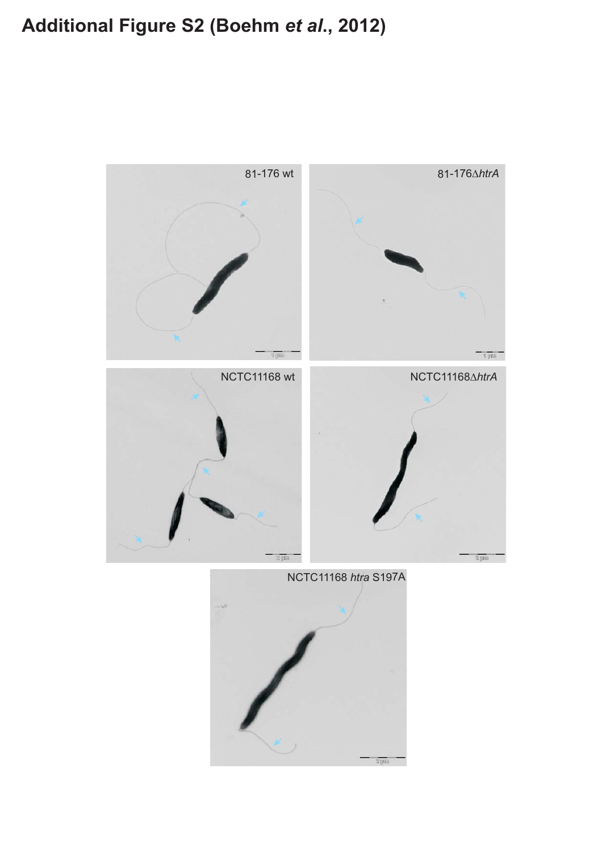## Additional Figure S2 (Boehm et al., 2012)

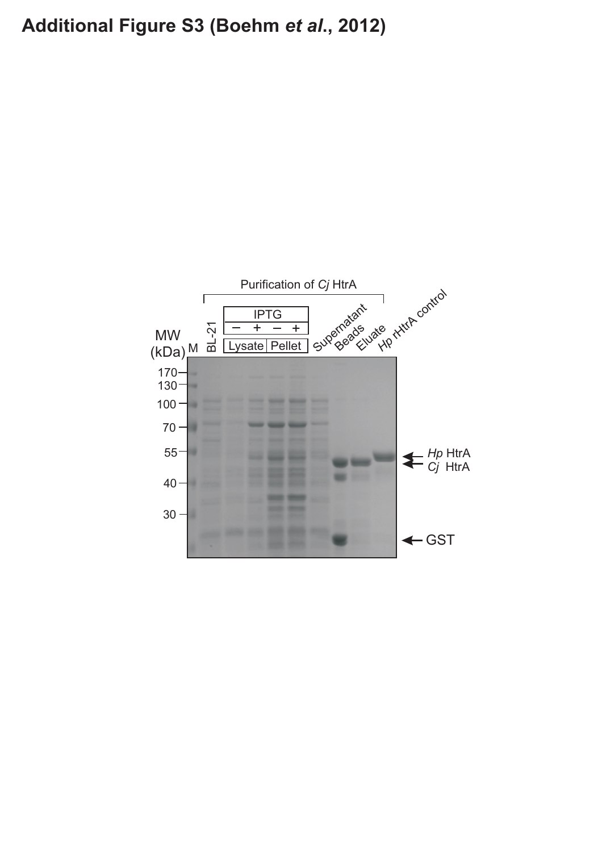## Additional Figure S3 (Boehm et al., 2012)